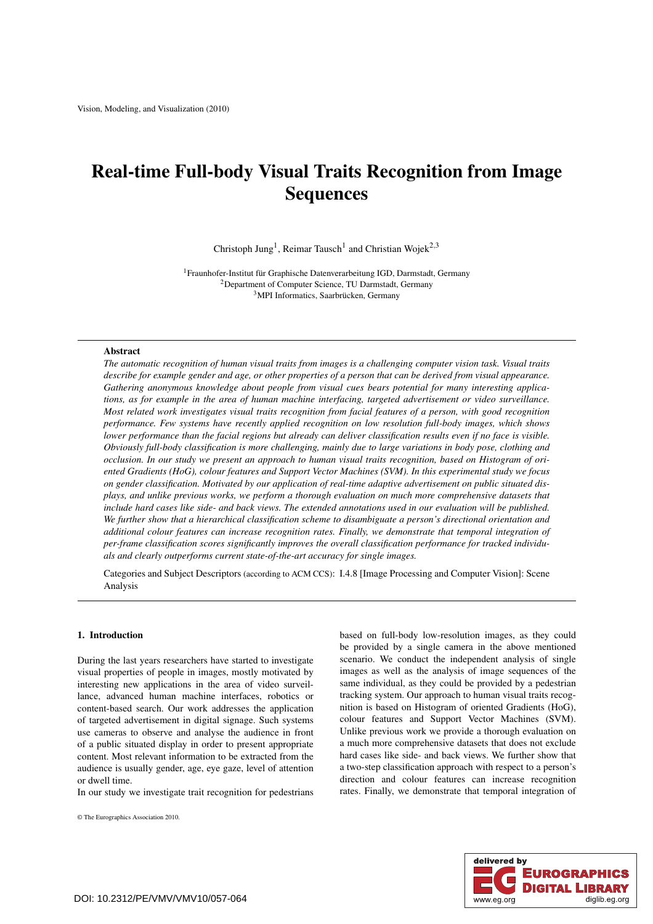# Real-time Full-body Visual Traits Recognition from Image **Sequences**

Christoph Jung<sup>1</sup>, Reimar Tausch<sup>1</sup> and Christian Wojek<sup>2,3</sup>

1Fraunhofer-Institut für Graphische Datenverarbeitung IGD, Darmstadt, Germany 2Department of Computer Science, TU Darmstadt, Germany 3MPI Informatics, Saarbrücken, Germany

#### **Abstract**

*The automatic recognition of human visual traits from images is a challenging computer vision task. Visual traits describe for example gender and age, or other properties of a person that can be derived from visual appearance. Gathering anonymous knowledge about people from visual cues bears potential for many interesting applications, as for example in the area of human machine interfacing, targeted advertisement or video surveillance. Most related work investigates visual traits recognition from facial features of a person, with good recognition performance. Few systems have recently applied recognition on low resolution full-body images, which shows lower performance than the facial regions but already can deliver classification results even if no face is visible. Obviously full-body classification is more challenging, mainly due to large variations in body pose, clothing and occlusion. In our study we present an approach to human visual traits recognition, based on Histogram of oriented Gradients (HoG), colour features and Support Vector Machines (SVM). In this experimental study we focus on gender classification. Motivated by our application of real-time adaptive advertisement on public situated displays, and unlike previous works, we perform a thorough evaluation on much more comprehensive datasets that include hard cases like side- and back views. The extended annotations used in our evaluation will be published. We further show that a hierarchical classification scheme to disambiguate a person's directional orientation and additional colour features can increase recognition rates. Finally, we demonstrate that temporal integration of per-frame classification scores significantly improves the overall classification performance for tracked individuals and clearly outperforms current state-of-the-art accuracy for single images.*

Categories and Subject Descriptors (according to ACM CCS): I.4.8 [Image Processing and Computer Vision]: Scene Analysis

## 1. Introduction

During the last years researchers have started to investigate visual properties of people in images, mostly motivated by interesting new applications in the area of video surveillance, advanced human machine interfaces, robotics or content-based search. Our work addresses the application of targeted advertisement in digital signage. Such systems use cameras to observe and analyse the audience in front of a public situated display in order to present appropriate content. Most relevant information to be extracted from the audience is usually gender, age, eye gaze, level of attention or dwell time.

In our study we investigate trait recognition for pedestrians

© The Eurographics Association 2010.

based on full-body low-resolution images, as they could be provided by a single camera in the above mentioned scenario. We conduct the independent analysis of single images as well as the analysis of image sequences of the same individual, as they could be provided by a pedestrian tracking system. Our approach to human visual traits recognition is based on Histogram of oriented Gradients (HoG), colour features and Support Vector Machines (SVM). Unlike previous work we provide a thorough evaluation on a much more comprehensive datasets that does not exclude hard cases like side- and back views. We further show that a two-step classification approach with respect to a person's direction and colour features can increase recognition rates. Finally, we demonstrate that temporal integration of

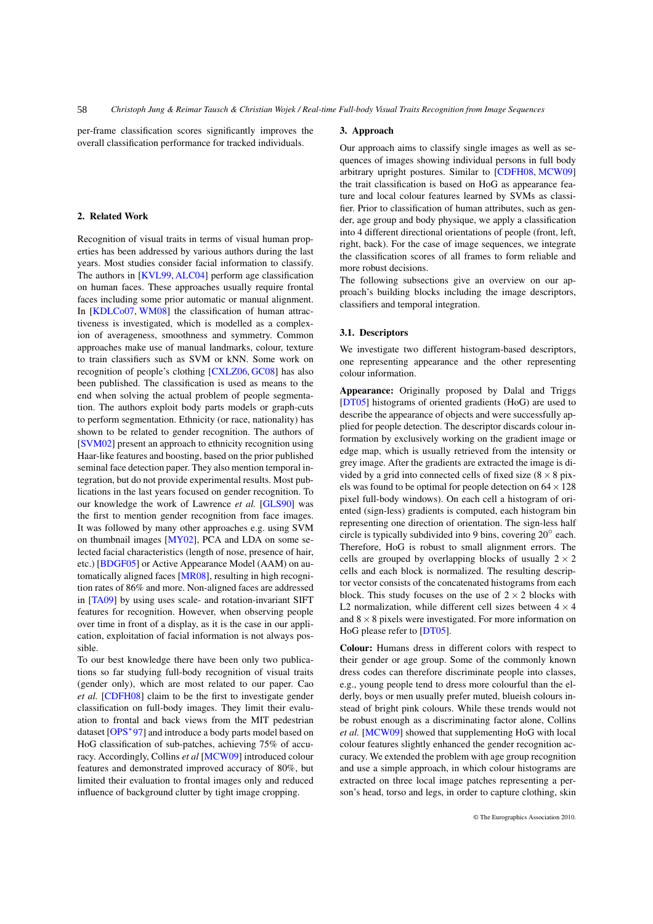<span id="page-1-0"></span>per-frame classification scores significantly improves the overall classification performance for tracked individuals.

# 2. Related Work

Recognition of visual traits in terms of visual human properties has been addressed by various authors during the last years. Most studies consider facial information to classify. The authors in [\[KVL99,](#page-7-0) [ALC04\]](#page-7-1) perform age classification on human faces. These approaches usually require frontal faces including some prior automatic or manual alignment. In [\[KDLCo07,](#page-7-2) [WM08\]](#page-7-3) the classification of human attractiveness is investigated, which is modelled as a complexion of averageness, smoothness and symmetry. Common approaches make use of manual landmarks, colour, texture to train classifiers such as SVM or kNN. Some work on recognition of people's clothing [\[CXLZ06,](#page-7-4) [GC08\]](#page-7-5) has also been published. The classification is used as means to the end when solving the actual problem of people segmentation. The authors exploit body parts models or graph-cuts to perform segmentation. Ethnicity (or race, nationality) has shown to be related to gender recognition. The authors of [\[SVM02\]](#page-7-6) present an approach to ethnicity recognition using Haar-like features and boosting, based on the prior published seminal face detection paper. They also mention temporal integration, but do not provide experimental results. Most publications in the last years focused on gender recognition. To our knowledge the work of Lawrence *et al.* [\[GLS90\]](#page-7-7) was the first to mention gender recognition from face images. It was followed by many other approaches e.g. using SVM on thumbnail images [\[MY02\]](#page-7-8), PCA and LDA on some selected facial characteristics (length of nose, presence of hair, etc.) [\[BDGF05\]](#page-7-9) or Active Appearance Model (AAM) on automatically aligned faces [\[MR08\]](#page-7-10), resulting in high recognition rates of 86% and more. Non-aligned faces are addressed in [\[TA09\]](#page-7-11) by using uses scale- and rotation-invariant SIFT features for recognition. However, when observing people over time in front of a display, as it is the case in our application, exploitation of facial information is not always possible.

To our best knowledge there have been only two publications so far studying full-body recognition of visual traits (gender only), which are most related to our paper. Cao *et al.* [\[CDFH08\]](#page-7-12) claim to be the first to investigate gender classification on full-body images. They limit their evaluation to frontal and back views from the MIT pedestrian dataset [\[OPS](#page-7-13)∗97] and introduce a body parts model based on HoG classification of sub-patches, achieving 75% of accuracy. Accordingly, Collins *et al* [\[MCW09\]](#page-7-14) introduced colour features and demonstrated improved accuracy of 80%, but limited their evaluation to frontal images only and reduced influence of background clutter by tight image cropping.

# 3. Approach

Our approach aims to classify single images as well as sequences of images showing individual persons in full body arbitrary upright postures. Similar to [\[CDFH08,](#page-7-12) [MCW09\]](#page-7-14) the trait classification is based on HoG as appearance feature and local colour features learned by SVMs as classifier. Prior to classification of human attributes, such as gender, age group and body physique, we apply a classification into 4 different directional orientations of people (front, left, right, back). For the case of image sequences, we integrate the classification scores of all frames to form reliable and more robust decisions.

The following subsections give an overview on our approach's building blocks including the image descriptors, classifiers and temporal integration.

# 3.1. Descriptors

We investigate two different histogram-based descriptors, one representing appearance and the other representing colour information.

Appearance: Originally proposed by Dalal and Triggs [\[DT05\]](#page-7-15) histograms of oriented gradients (HoG) are used to describe the appearance of objects and were successfully applied for people detection. The descriptor discards colour information by exclusively working on the gradient image or edge map, which is usually retrieved from the intensity or grey image. After the gradients are extracted the image is divided by a grid into connected cells of fixed size  $(8 \times 8 \text{ pix}$ els was found to be optimal for people detection on  $64 \times 128$ pixel full-body windows). On each cell a histogram of oriented (sign-less) gradients is computed, each histogram bin representing one direction of orientation. The sign-less half circle is typically subdivided into 9 bins, covering 20◦ each. Therefore, HoG is robust to small alignment errors. The cells are grouped by overlapping blocks of usually  $2 \times 2$ cells and each block is normalized. The resulting descriptor vector consists of the concatenated histograms from each block. This study focuses on the use of  $2 \times 2$  blocks with L2 normalization, while different cell sizes between  $4 \times 4$ and  $8 \times 8$  pixels were investigated. For more information on HoG please refer to [\[DT05\]](#page-7-15).

Colour: Humans dress in different colors with respect to their gender or age group. Some of the commonly known dress codes can therefore discriminate people into classes, e.g., young people tend to dress more colourful than the elderly, boys or men usually prefer muted, blueish colours instead of bright pink colours. While these trends would not be robust enough as a discriminating factor alone, Collins *et al.* [\[MCW09\]](#page-7-14) showed that supplementing HoG with local colour features slightly enhanced the gender recognition accuracy. We extended the problem with age group recognition and use a simple approach, in which colour histograms are extracted on three local image patches representing a person's head, torso and legs, in order to capture clothing, skin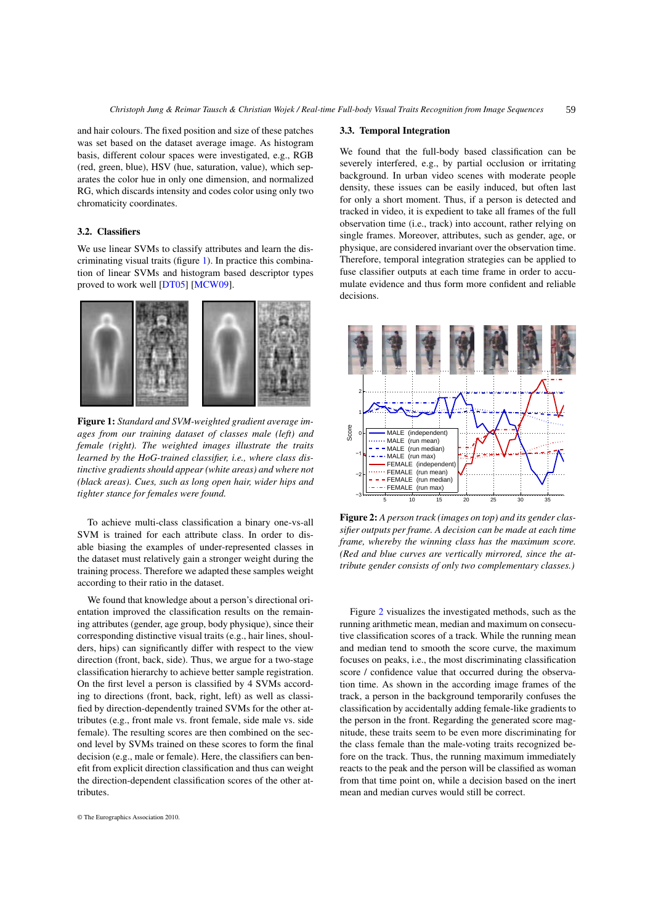<span id="page-2-2"></span>and hair colours. The fixed position and size of these patches was set based on the dataset average image. As histogram basis, different colour spaces were investigated, e.g., RGB (red, green, blue), HSV (hue, saturation, value), which separates the color hue in only one dimension, and normalized RG, which discards intensity and codes color using only two chromaticity coordinates.

# 3.2. Classifiers

We use linear SVMs to classify attributes and learn the discriminating visual traits (figure [1\)](#page-2-0). In practice this combination of linear SVMs and histogram based descriptor types proved to work well [\[DT05\]](#page-7-15) [\[MCW09\]](#page-7-14).



<span id="page-2-0"></span>Figure 1: *Standard and SVM-weighted gradient average images from our training dataset of classes male (left) and female (right). The weighted images illustrate the traits learned by the HoG-trained classifier, i.e., where class distinctive gradients should appear (white areas) and where not (black areas). Cues, such as long open hair, wider hips and tighter stance for females were found.*

To achieve multi-class classification a binary one-vs-all SVM is trained for each attribute class. In order to disable biasing the examples of under-represented classes in the dataset must relatively gain a stronger weight during the training process. Therefore we adapted these samples weight according to their ratio in the dataset.

We found that knowledge about a person's directional orientation improved the classification results on the remaining attributes (gender, age group, body physique), since their corresponding distinctive visual traits (e.g., hair lines, shoulders, hips) can significantly differ with respect to the view direction (front, back, side). Thus, we argue for a two-stage classification hierarchy to achieve better sample registration. On the first level a person is classified by 4 SVMs according to directions (front, back, right, left) as well as classified by direction-dependently trained SVMs for the other attributes (e.g., front male vs. front female, side male vs. side female). The resulting scores are then combined on the second level by SVMs trained on these scores to form the final decision (e.g., male or female). Here, the classifiers can benefit from explicit direction classification and thus can weight the direction-dependent classification scores of the other attributes.

# 3.3. Temporal Integration

We found that the full-body based classification can be severely interfered, e.g., by partial occlusion or irritating background. In urban video scenes with moderate people density, these issues can be easily induced, but often last for only a short moment. Thus, if a person is detected and tracked in video, it is expedient to take all frames of the full observation time (i.e., track) into account, rather relying on single frames. Moreover, attributes, such as gender, age, or physique, are considered invariant over the observation time. Therefore, temporal integration strategies can be applied to fuse classifier outputs at each time frame in order to accumulate evidence and thus form more confident and reliable decisions.



<span id="page-2-1"></span>Figure 2: *A person track (images on top) and its gender classifier outputs per frame. A decision can be made at each time frame, whereby the winning class has the maximum score. (Red and blue curves are vertically mirrored, since the attribute gender consists of only two complementary classes.)*

Figure [2](#page-2-1) visualizes the investigated methods, such as the running arithmetic mean, median and maximum on consecutive classification scores of a track. While the running mean and median tend to smooth the score curve, the maximum focuses on peaks, i.e., the most discriminating classification score / confidence value that occurred during the observation time. As shown in the according image frames of the track, a person in the background temporarily confuses the classification by accidentally adding female-like gradients to the person in the front. Regarding the generated score magnitude, these traits seem to be even more discriminating for the class female than the male-voting traits recognized before on the track. Thus, the running maximum immediately reacts to the peak and the person will be classified as woman from that time point on, while a decision based on the inert mean and median curves would still be correct.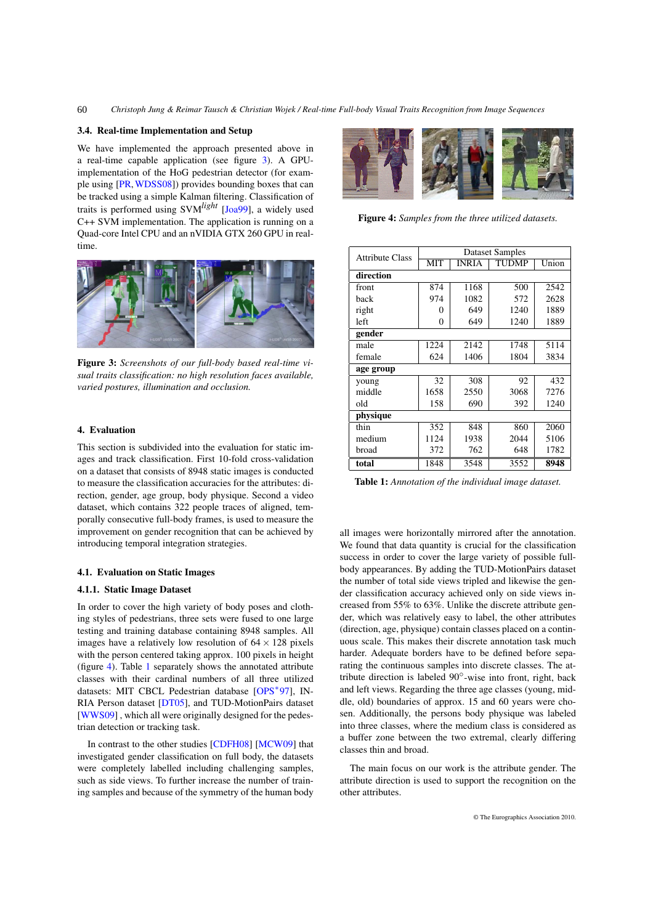#### <span id="page-3-3"></span>3.4. Real-time Implementation and Setup

We have implemented the approach presented above in a real-time capable application (see figure [3\)](#page-3-0). A GPUimplementation of the HoG pedestrian detector (for example using [\[PR,](#page-7-16)[WDSS08\]](#page-7-17)) provides bounding boxes that can be tracked using a simple Kalman filtering. Classification of traits is performed using SVM*light* [\[Joa99\]](#page-7-18), a widely used C++ SVM implementation. The application is running on a Quad-core Intel CPU and an nVIDIA GTX 260 GPU in realtime.

<span id="page-3-0"></span>

Figure 3: *Screenshots of our full-body based real-time visual traits classification: no high resolution faces available, varied postures, illumination and occlusion.*

# 4. Evaluation

This section is subdivided into the evaluation for static images and track classification. First 10-fold cross-validation on a dataset that consists of 8948 static images is conducted to measure the classification accuracies for the attributes: direction, gender, age group, body physique. Second a video dataset, which contains 322 people traces of aligned, temporally consecutive full-body frames, is used to measure the improvement on gender recognition that can be achieved by introducing temporal integration strategies.

#### 4.1. Evaluation on Static Images

# 4.1.1. Static Image Dataset

In order to cover the high variety of body poses and clothing styles of pedestrians, three sets were fused to one large testing and training database containing 8948 samples. All images have a relatively low resolution of  $64 \times 128$  pixels with the person centered taking approx. 100 pixels in height (figure [4\)](#page-3-1). Table [1](#page-3-2) separately shows the annotated attribute classes with their cardinal numbers of all three utilized datasets: MIT CBCL Pedestrian database [\[OPS](#page-7-13)∗97], IN-RIA Person dataset [\[DT05\]](#page-7-15), and TUD-MotionPairs dataset [\[WWS09\]](#page-7-19) , which all were originally designed for the pedestrian detection or tracking task.

In contrast to the other studies [\[CDFH08\]](#page-7-12) [\[MCW09\]](#page-7-14) that investigated gender classification on full body, the datasets were completely labelled including challenging samples, such as side views. To further increase the number of training samples and because of the symmetry of the human body

<span id="page-3-1"></span>

Figure 4: *Samples from the three utilized datasets.*

| <b>Attribute Class</b> | <b>Dataset Samples</b>  |              |              |       |  |
|------------------------|-------------------------|--------------|--------------|-------|--|
|                        | $\overline{\text{MIT}}$ | <b>INRIA</b> | <b>TUDMP</b> | Union |  |
| direction              |                         |              |              |       |  |
| front                  | 874                     | 1168         | 500          | 2542  |  |
| back                   | 974                     | 1082         | 572          | 2628  |  |
| right                  | 0                       | 649          | 1240         | 1889  |  |
| left                   | 0                       | 649          | 1240         | 1889  |  |
| gender                 |                         |              |              |       |  |
| male                   | 1224                    | 2142         | 1748         | 5114  |  |
| female                 | 624                     | 1406         | 1804         | 3834  |  |
| age group              |                         |              |              |       |  |
| young                  | 32                      | 308          | 92           | 432   |  |
| middle                 | 1658                    | 2550         | 3068         | 7276  |  |
| old                    | 158                     | 690          | 392          | 1240  |  |
| physique               |                         |              |              |       |  |
| thin                   | 352                     | 848          | 860          | 2060  |  |
| medium                 | 1124                    | 1938         | 2044         | 5106  |  |
| broad                  | 372                     | 762          | 648          | 1782  |  |
| total                  | 1848                    | 3548         | 3552         | 8948  |  |

<span id="page-3-2"></span>Table 1: *Annotation of the individual image dataset.*

all images were horizontally mirrored after the annotation. We found that data quantity is crucial for the classification success in order to cover the large variety of possible fullbody appearances. By adding the TUD-MotionPairs dataset the number of total side views tripled and likewise the gender classification accuracy achieved only on side views increased from 55% to 63%. Unlike the discrete attribute gender, which was relatively easy to label, the other attributes (direction, age, physique) contain classes placed on a continuous scale. This makes their discrete annotation task much harder. Adequate borders have to be defined before separating the continuous samples into discrete classes. The attribute direction is labeled 90◦-wise into front, right, back and left views. Regarding the three age classes (young, middle, old) boundaries of approx. 15 and 60 years were chosen. Additionally, the persons body physique was labeled into three classes, where the medium class is considered as a buffer zone between the two extremal, clearly differing classes thin and broad.

The main focus on our work is the attribute gender. The attribute direction is used to support the recognition on the other attributes.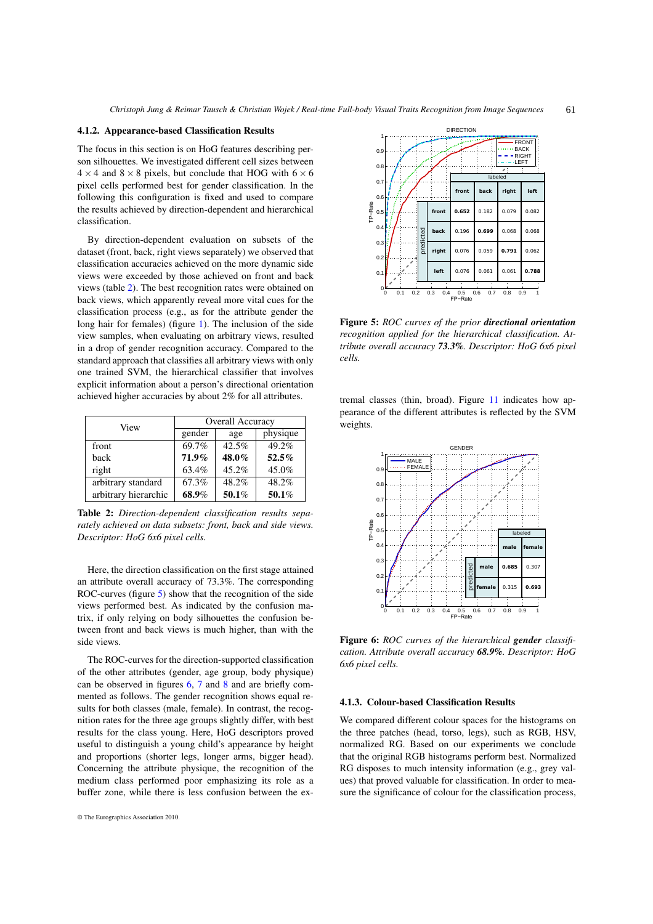#### 4.1.2. Appearance-based Classification Results

The focus in this section is on HoG features describing person silhouettes. We investigated different cell sizes between  $4 \times 4$  and  $8 \times 8$  pixels, but conclude that HOG with  $6 \times 6$ pixel cells performed best for gender classification. In the following this configuration is fixed and used to compare the results achieved by direction-dependent and hierarchical classification.

By direction-dependent evaluation on subsets of the dataset (front, back, right views separately) we observed that classification accuracies achieved on the more dynamic side views were exceeded by those achieved on front and back views (table [2\)](#page-4-0). The best recognition rates were obtained on back views, which apparently reveal more vital cues for the classification process (e.g., as for the attribute gender the long hair for females) (figure [1\)](#page-2-0). The inclusion of the side view samples, when evaluating on arbitrary views, resulted in a drop of gender recognition accuracy. Compared to the standard approach that classifies all arbitrary views with only one trained SVM, the hierarchical classifier that involves explicit information about a person's directional orientation achieved higher accuracies by about 2% for all attributes.

| View                 | <b>Overall Accuracy</b> |       |          |  |
|----------------------|-------------------------|-------|----------|--|
|                      | gender                  | age   | physique |  |
| front                | 69.7%                   | 42.5% | 49.2%    |  |
| back                 | 71.9%                   | 48.0% | 52.5%    |  |
| right                | 63.4%                   | 45.2% | 45.0%    |  |
| arbitrary standard   | 67.3%                   | 48.2% | 48.2%    |  |
| arbitrary hierarchic | 68.9%                   | 50.1% | 50.1%    |  |

<span id="page-4-0"></span>Table 2: *Direction-dependent classification results separately achieved on data subsets: front, back and side views. Descriptor: HoG 6x6 pixel cells.*

Here, the direction classification on the first stage attained an attribute overall accuracy of 73.3%. The corresponding ROC-curves (figure [5\)](#page-4-1) show that the recognition of the side views performed best. As indicated by the confusion matrix, if only relying on body silhouettes the confusion between front and back views is much higher, than with the side views.

The ROC-curves for the direction-supported classification of the other attributes (gender, age group, body physique) can be observed in figures [6,](#page-4-2) [7](#page-5-0) and [8](#page-5-1) and are briefly commented as follows. The gender recognition shows equal results for both classes (male, female). In contrast, the recognition rates for the three age groups slightly differ, with best results for the class young. Here, HoG descriptors proved useful to distinguish a young child's appearance by height and proportions (shorter legs, longer arms, bigger head). Concerning the attribute physique, the recognition of the medium class performed poor emphasizing its role as a buffer zone, while there is less confusion between the ex-



<span id="page-4-1"></span>Figure 5: *ROC curves of the prior directional orientation recognition applied for the hierarchical classification. Attribute overall accuracy 73.3%. Descriptor: HoG 6x6 pixel cells.*

tremal classes (thin, broad). Figure [11](#page-6-0) indicates how appearance of the different attributes is reflected by the SVM weights.



<span id="page-4-2"></span>Figure 6: *ROC curves of the hierarchical gender classification. Attribute overall accuracy 68.9%. Descriptor: HoG 6x6 pixel cells.*

### 4.1.3. Colour-based Classification Results

We compared different colour spaces for the histograms on the three patches (head, torso, legs), such as RGB, HSV, normalized RG. Based on our experiments we conclude that the original RGB histograms perform best. Normalized RG disposes to much intensity information (e.g., grey values) that proved valuable for classification. In order to measure the significance of colour for the classification process,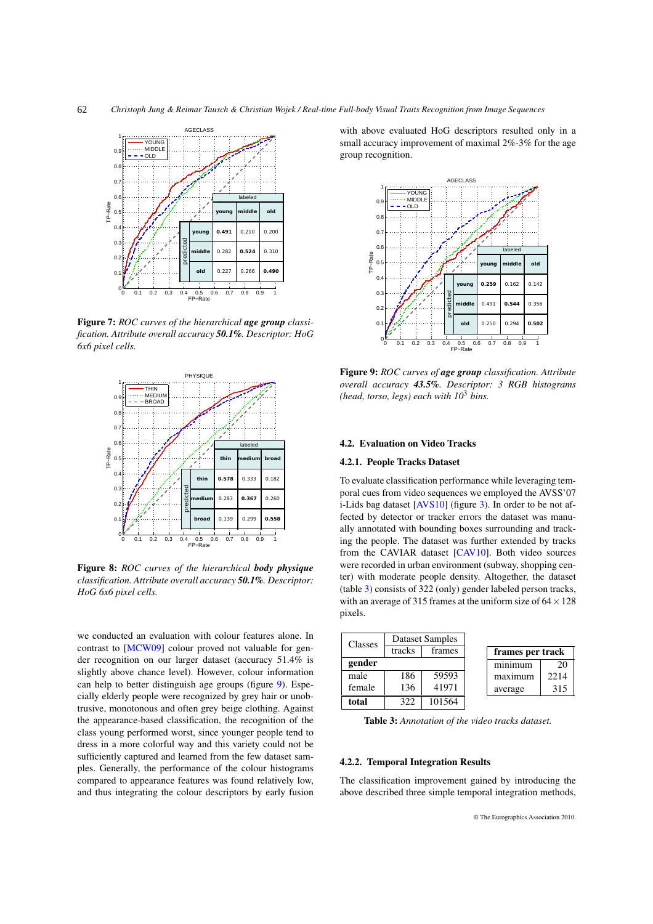<span id="page-5-4"></span>

<span id="page-5-0"></span>Figure 7: *ROC curves of the hierarchical age group classification. Attribute overall accuracy 50.1%. Descriptor: HoG 6x6 pixel cells.*



<span id="page-5-1"></span>Figure 8: *ROC curves of the hierarchical body physique classification. Attribute overall accuracy 50.1%. Descriptor: HoG 6x6 pixel cells.*

we conducted an evaluation with colour features alone. In contrast to [\[MCW09\]](#page-7-14) colour proved not valuable for gender recognition on our larger dataset (accuracy 51.4% is slightly above chance level). However, colour information can help to better distinguish age groups (figure [9\)](#page-5-2). Especially elderly people were recognized by grey hair or unobtrusive, monotonous and often grey beige clothing. Against the appearance-based classification, the recognition of the class young performed worst, since younger people tend to dress in a more colorful way and this variety could not be sufficiently captured and learned from the few dataset samples. Generally, the performance of the colour histograms compared to appearance features was found relatively low, and thus integrating the colour descriptors by early fusion with above evaluated HoG descriptors resulted only in a small accuracy improvement of maximal 2%-3% for the age group recognition.



<span id="page-5-2"></span>Figure 9: *ROC curves of age group classification. Attribute overall accuracy 43.5%. Descriptor: 3 RGB histograms (head, torso, legs) each with 10*<sup>3</sup> *bins.*

# 4.2. Evaluation on Video Tracks

# 4.2.1. People Tracks Dataset

To evaluate classification performance while leveraging temporal cues from video sequences we employed the AVSS'07 i-Lids bag dataset [\[AVS10\]](#page-7-20) (figure [3\)](#page-3-0). In order to be not affected by detector or tracker errors the dataset was manually annotated with bounding boxes surrounding and tracking the people. The dataset was further extended by tracks from the CAVIAR dataset [\[CAV10\]](#page-7-21). Both video sources were recorded in urban environment (subway, shopping center) with moderate people density. Altogether, the dataset (table [3\)](#page-5-3) consists of 322 (only) gender labeled person tracks, with an average of 315 frames at the uniform size of  $64 \times 128$ pixels.

| Dataset Samples<br>Classes |        |        |  |                  |      |  |
|----------------------------|--------|--------|--|------------------|------|--|
|                            | tracks | frames |  | frames per track |      |  |
| gender                     |        |        |  | minimum          | 20   |  |
| male                       | 186    | 59593  |  | maximum          | 2214 |  |
| female                     | 136    | 41971  |  | average          | 315  |  |
| total                      | 322    | 101564 |  |                  |      |  |

<span id="page-5-3"></span>Table 3: *Annotation of the video tracks dataset.*

# 4.2.2. Temporal Integration Results

The classification improvement gained by introducing the above described three simple temporal integration methods,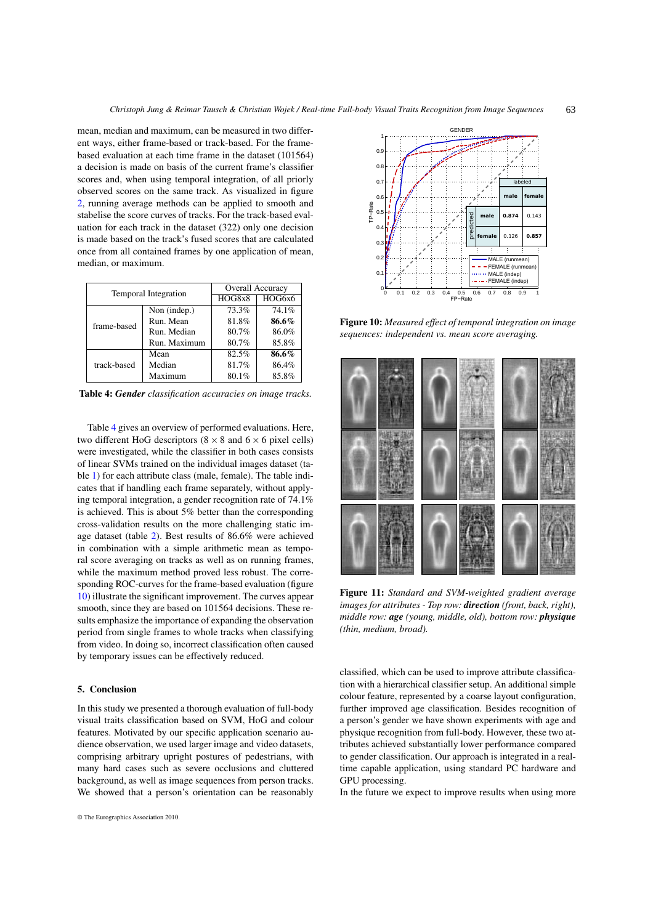mean, median and maximum, can be measured in two different ways, either frame-based or track-based. For the framebased evaluation at each time frame in the dataset (101564) a decision is made on basis of the current frame's classifier scores and, when using temporal integration, of all priorly observed scores on the same track. As visualized in figure [2,](#page-2-1) running average methods can be applied to smooth and stabelise the score curves of tracks. For the track-based evaluation for each track in the dataset (322) only one decision is made based on the track's fused scores that are calculated once from all contained frames by one application of mean, median, or maximum.

| <b>Temporal Integration</b> |              | <b>Overall Accuracy</b> |        |  |
|-----------------------------|--------------|-------------------------|--------|--|
|                             |              | HOG8x8                  | HOG6x6 |  |
| frame-based                 | Non (indep.) | 73.3%                   | 74.1%  |  |
|                             | Run. Mean    | 81.8%                   | 86.6%  |  |
|                             | Run. Median  | 80.7%                   | 86.0%  |  |
|                             | Run. Maximum | 80.7%                   | 85.8%  |  |
| track-based                 | Mean         | 82.5%                   | 86.6%  |  |
|                             | Median       | 81.7%                   | 86.4%  |  |
|                             | Maximum      | 80.1%                   | 85.8%  |  |

<span id="page-6-1"></span>Table 4: *Gender classification accuracies on image tracks.*

Table [4](#page-6-1) gives an overview of performed evaluations. Here, two different HoG descriptors ( $8 \times 8$  and  $6 \times 6$  pixel cells) were investigated, while the classifier in both cases consists of linear SVMs trained on the individual images dataset (table [1\)](#page-3-2) for each attribute class (male, female). The table indicates that if handling each frame separately, without applying temporal integration, a gender recognition rate of 74.1% is achieved. This is about 5% better than the corresponding cross-validation results on the more challenging static image dataset (table [2\)](#page-4-0). Best results of 86.6% were achieved in combination with a simple arithmetic mean as temporal score averaging on tracks as well as on running frames, while the maximum method proved less robust. The corresponding ROC-curves for the frame-based evaluation (figure [10\)](#page-6-2) illustrate the significant improvement. The curves appear smooth, since they are based on 101564 decisions. These results emphasize the importance of expanding the observation period from single frames to whole tracks when classifying from video. In doing so, incorrect classification often caused by temporary issues can be effectively reduced.

# 5. Conclusion

In this study we presented a thorough evaluation of full-body visual traits classification based on SVM, HoG and colour features. Motivated by our specific application scenario audience observation, we used larger image and video datasets, comprising arbitrary upright postures of pedestrians, with many hard cases such as severe occlusions and cluttered background, as well as image sequences from person tracks. We showed that a person's orientation can be reasonably



<span id="page-6-2"></span>Figure 10: *Measured effect of temporal integration on image sequences: independent vs. mean score averaging.*



Figure 11: *Standard and SVM-weighted gradient average images for attributes - Top row: direction (front, back, right), middle row: age (young, middle, old), bottom row: physique (thin, medium, broad).*

<span id="page-6-0"></span>classified, which can be used to improve attribute classification with a hierarchical classifier setup. An additional simple colour feature, represented by a coarse layout configuration, further improved age classification. Besides recognition of a person's gender we have shown experiments with age and physique recognition from full-body. However, these two attributes achieved substantially lower performance compared to gender classification. Our approach is integrated in a realtime capable application, using standard PC hardware and GPU processing.

In the future we expect to improve results when using more